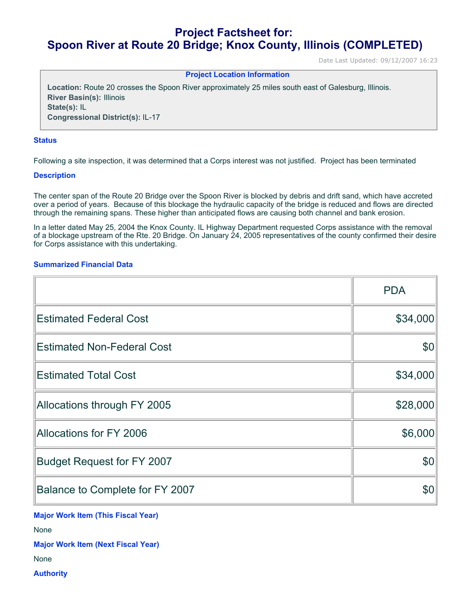# **Project Factsheet for: Spoon River at Route 20 Bridge; Knox County, Illinois (COMPLETED)**

Date Last Updated: 09/12/2007 16:23

### **Project Location Information**

**Location:** Route 20 crosses the Spoon River approximately 25 miles south east of Galesburg, Illinois. **River Basin(s):** Illinois **State(s):** IL **Congressional District(s):** IL-17

#### **Status**

Following a site inspection, it was determined that a Corps interest was not justified. Project has been terminated

#### **Description**

The center span of the Route 20 Bridge over the Spoon River is blocked by debris and drift sand, which have accreted over a period of years. Because of this blockage the hydraulic capacity of the bridge is reduced and flows are directed through the remaining spans. These higher than anticipated flows are causing both channel and bank erosion.

In a letter dated May 25, 2004 the Knox County. IL Highway Department requested Corps assistance with the removal of a blockage upstream of the Rte. 20 Bridge. On January 24, 2005 representatives of the county confirmed their desire for Corps assistance with this undertaking.

## **Summarized Financial Data**

|                                   | <b>PDA</b> |
|-----------------------------------|------------|
| <b>Estimated Federal Cost</b>     | \$34,000   |
| <b>Estimated Non-Federal Cost</b> | \$0        |
| <b>Estimated Total Cost</b>       | \$34,000   |
| Allocations through FY 2005       | \$28,000   |
| Allocations for FY 2006           | \$6,000    |
| <b>Budget Request for FY 2007</b> | \$0        |
| Balance to Complete for FY 2007   | \$0        |

**Major Work Item (This Fiscal Year)**

None

**Major Work Item (Next Fiscal Year)**

None

**Authority**